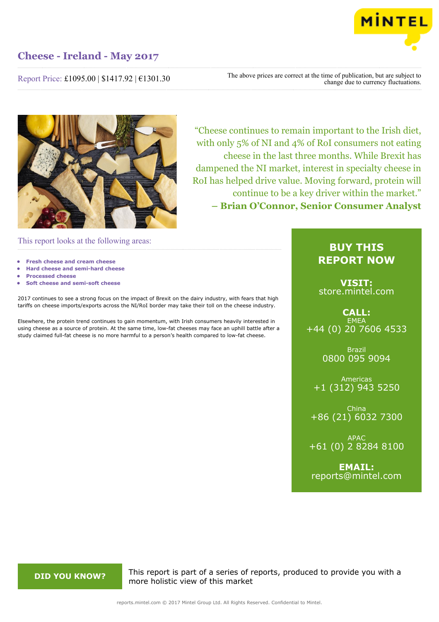

Report Price: £1095.00 | \$1417.92 | €1301.30

The above prices are correct at the time of publication, but are subject to change due to currency fluctuations.



"Cheese continues to remain important to the Irish diet, with only 5% of NI and 4% of RoI consumers not eating cheese in the last three months. While Brexit has dampened the NI market, interest in specialty cheese in RoI has helped drive value. Moving forward, protein will continue to be a key driver within the market." **– Brian O'Connor, Senior Consumer Analyst**

This report looks at the following areas:

- **• Fresh cheese and cream cheese**
- **• Hard cheese and semi-hard cheese**
- **• Processed cheese**
- **• Soft cheese and semi-soft cheese**

2017 continues to see a strong focus on the impact of Brexit on the dairy industry, with fears that high tariffs on cheese imports/exports across the NI/RoI border may take their toll on the cheese industry.

Elsewhere, the protein trend continues to gain momentum, with Irish consumers heavily interested in using cheese as a source of protein. At the same time, low-fat cheeses may face an uphill battle after a study claimed full-fat cheese is no more harmful to a person's health compared to low-fat cheese.

## **BUY THIS REPORT NOW**

**VISIT:** [store.mintel.com](http://reports.mintel.com//display/store/793553/)

### **CALL: EMEA** +44 (0) 20 7606 4533

Brazil 0800 095 9094

Americas +1 (312) 943 5250

China +86 (21) 6032 7300

APAC +61 (0) 2 8284 8100

**EMAIL:** [reports@mintel.com](mailto:reports@mintel.com)

**DID YOU KNOW?** This report is part of a series of reports, produced to provide you with a more holistic view of this market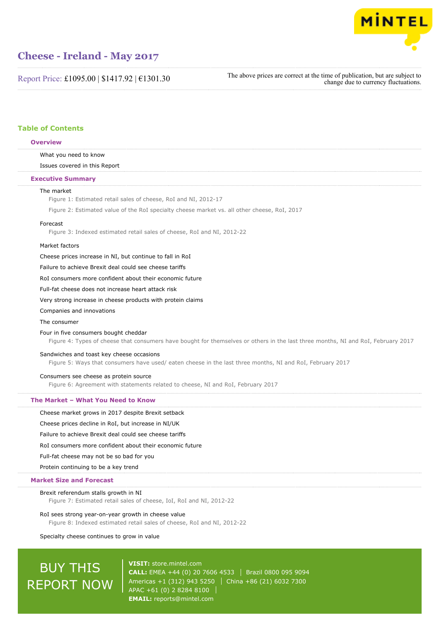

Report Price: £1095.00 | \$1417.92 | €1301.30

The above prices are correct at the time of publication, but are subject to change due to currency fluctuations.

### **Table of Contents**

#### **Overview**

### What you need to know

Issues covered in this Report

#### **Executive Summary**

#### The market

Figure 1: Estimated retail sales of cheese, RoI and NI, 2012-17

Figure 2: Estimated value of the RoI specialty cheese market vs. all other cheese, RoI, 2017

#### Forecast

Figure 3: Indexed estimated retail sales of cheese, RoI and NI, 2012-22

#### Market factors

Cheese prices increase in NI, but continue to fall in RoI

Failure to achieve Brexit deal could see cheese tariffs

RoI consumers more confident about their economic future

Full-fat cheese does not increase heart attack risk

Very strong increase in cheese products with protein claims

Companies and innovations

#### The consumer

#### Four in five consumers bought cheddar

Figure 4: Types of cheese that consumers have bought for themselves or others in the last three months, NI and RoI, February 2017

#### Sandwiches and toast key cheese occasions

Figure 5: Ways that consumers have used/ eaten cheese in the last three months, NI and RoI, February 2017

#### Consumers see cheese as protein source

Figure 6: Agreement with statements related to cheese, NI and RoI, February 2017

#### **The Market – What You Need to Know**

Cheese market grows in 2017 despite Brexit setback

Cheese prices decline in RoI, but increase in NI/UK

Failure to achieve Brexit deal could see cheese tariffs

RoI consumers more confident about their economic future

Full-fat cheese may not be so bad for you

Protein continuing to be a key trend

#### **Market Size and Forecast**

#### Brexit referendum stalls growth in NI

Figure 7: Estimated retail sales of cheese, IoI, RoI and NI, 2012-22

#### RoI sees strong year-on-year growth in cheese value

Figure 8: Indexed estimated retail sales of cheese, RoI and NI, 2012-22

Specialty cheese continues to grow in value

# BUY THIS REPORT NOW

**VISIT:** [store.mintel.com](http://reports.mintel.com//display/store/793553/) **CALL:** EMEA +44 (0) 20 7606 4533 Brazil 0800 095 9094 Americas +1 (312) 943 5250 | China +86 (21) 6032 7300 APAC +61 (0) 2 8284 8100 **EMAIL:** [reports@mintel.com](mailto:reports@mintel.com)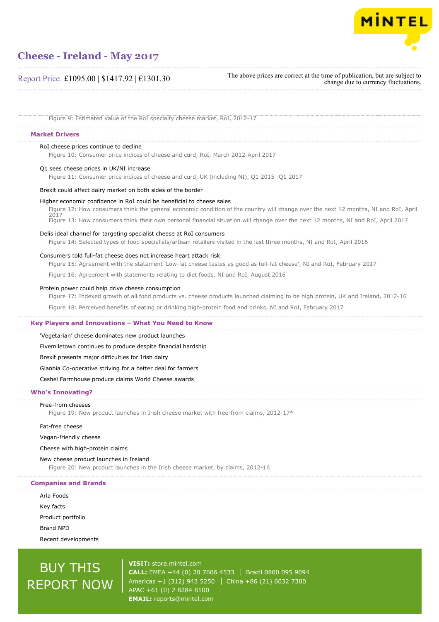

Report Price: £1095.00 | \$1417.92 | €1301.30

The above prices are correct at the time of publication, but are subject to change due to currency fluctuations.

Figure 9: Estimated value of the RoI specialty cheese market, RoI, 2012-17

#### **Market Drivers**

#### RoI cheese prices continue to decline

Figure 10: Consumer price indices of cheese and curd, RoI, March 2012-April 2017

#### Q1 sees cheese prices in UK/NI increase

Figure 11: Consumer price indices of cheese and curd, UK (including NI), Q1 2015 -Q1 2017

#### Brexit could affect dairy market on both sides of the border

#### Higher economic confidence in RoI could be beneficial to cheese sales

Figure 12: How consumers think the general economic condition of the country will change over the next 12 months, NI and RoI, April 2017 Figure 13: How consumers think their own personal financial situation will change over the next 12 months, NI and RoI, April 2017

#### Delis ideal channel for targeting specialist cheese at RoI consumers

Figure 14: Selected types of food specialists/artisan retailers visited in the last three months, NI and RoI, April 2016

### Consumers told full-fat cheese does not increase heart attack risk

Figure 15: Agreement with the statement 'Low-fat cheese tastes as good as full-fat cheese', NI and RoI, February 2017

Figure 16: Agreement with statements relating to diet foods, NI and RoI, August 2016

#### Protein power could help drive cheese consumption

Figure 17: Indexed growth of all food products vs. cheese products launched claiming to be high protein, UK and Ireland, 2012-16

Figure 18: Perceived benefits of eating or drinking high-protein food and drinks, NI and RoI, February 2017

#### **Key Players and Innovations – What You Need to Know**

'Vegetarian' cheese dominates new product launches

Fivemiletown continues to produce despite financial hardship

Brexit presents major difficulties for Irish dairy

Glanbia Co-operative striving for a better deal for farmers

Cashel Farmhouse produce claims World Cheese awards

### **Who's Innovating?**

#### Free-from cheeses

Figure 19: New product launches in Irish cheese market with free-from claims, 2012-17\*

Fat-free cheese

Vegan-friendly cheese

Cheese with high-protein claims

New cheese product launches in Ireland Figure 20: New product launches in the Irish cheese market, by claims, 2012-16

#### **Companies and Brands**

Arla Foods Key facts Product portfolio Brand NPD Recent developments

# BUY THIS REPORT NOW

**VISIT:** [store.mintel.com](http://reports.mintel.com//display/store/793553/) **CALL:** EMEA +44 (0) 20 7606 4533 Brazil 0800 095 9094 Americas +1 (312) 943 5250 | China +86 (21) 6032 7300 APAC +61 (0) 2 8284 8100 **EMAIL:** [reports@mintel.com](mailto:reports@mintel.com)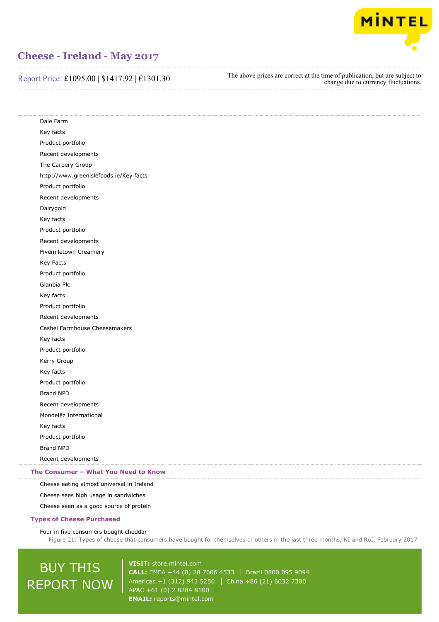

Report Price: £1095.00 | \$1417.92 | €1301.30

The above prices are correct at the time of publication, but are subject to change due to currency fluctuations.

Dale Farm Key facts Product portfolio Recent developments The Carbery Group http://www.greenislefoods.ie/Key facts Product portfolio Recent developments Dairygold Key facts Product portfolio Recent developments Fivemiletown Creamery Key Facts Product portfolio Glanbia Plc. Key facts Product portfolio Recent developments Cashel Farmhouse Cheesemakers Key facts Product portfolio Kerry Group Key facts Product portfolio Brand NPD Recent developments Mondelēz International Key facts Product portfolio Brand NPD Recent developments Cheese eating almost universal in Ireland **The Consumer – What You Need to Know**

Cheese sees high usage in sandwiches

Cheese seen as a good source of protein

#### **Types of Cheese Purchased**

Four in five consumers bought cheddar

Figure 21: Types of cheese that consumers have bought for themselves or others in the last three months, NI and RoI, February 2017

# BUY THIS REPORT NOW

**VISIT:** [store.mintel.com](http://reports.mintel.com//display/store/793553/) **CALL:** EMEA +44 (0) 20 7606 4533 | Brazil 0800 095 9094 Americas +1 (312) 943 5250 | China +86 (21) 6032 7300 APAC +61 (0) 2 8284 8100 **EMAIL:** [reports@mintel.com](mailto:reports@mintel.com)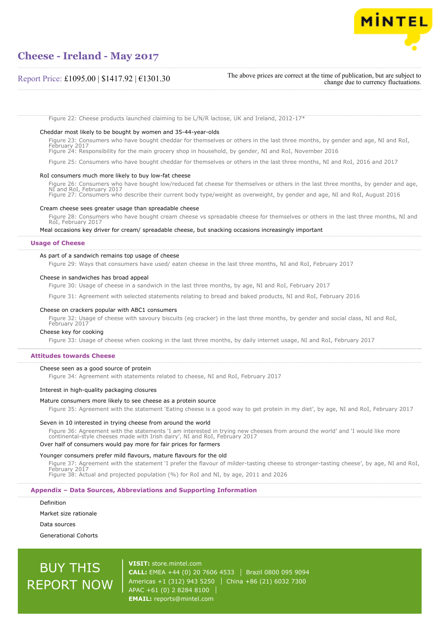

### Report Price: £1095.00 | \$1417.92 | €1301.30

The above prices are correct at the time of publication, but are subject to change due to currency fluctuations.

Figure 22: Cheese products launched claiming to be L/N/R lactose, UK and Ireland, 2012-17\*

#### Cheddar most likely to be bought by women and 35-44-year-olds

Figure 23: Consumers who have bought cheddar for themselves or others in the last three months, by gender and age, NI and RoI, February 2017

Figure 24: Responsibility for the main grocery shop in household, by gender, NI and RoI, November 2016

Figure 25: Consumers who have bought cheddar for themselves or others in the last three months, NI and RoI, 2016 and 2017

#### RoI consumers much more likely to buy low-fat cheese

Figure 26: Consumers who have bought low/reduced fat cheese for themselves or others in the last three months, by gender and age, NI and RoI, February 2017 Figure 27: Consumers who describe their current body type/weight as overweight, by gender and age, NI and RoI, August 2016

#### Cream cheese sees greater usage than spreadable cheese

Figure 28: Consumers who have bought cream cheese vs spreadable cheese for themselves or others in the last three months, NI and RoI, February 2017

#### Meal occasions key driver for cream/ spreadable cheese, but snacking occasions increasingly important

#### **Usage of Cheese**

#### As part of a sandwich remains top usage of cheese

Figure 29: Ways that consumers have used/ eaten cheese in the last three months, NI and RoI, February 2017

#### Cheese in sandwiches has broad appeal

Figure 30: Usage of cheese in a sandwich in the last three months, by age, NI and RoI, February 2017

Figure 31: Agreement with selected statements relating to bread and baked products, NI and RoI, February 2016

### Cheese on crackers popular with ABC1 consumers

Figure 32: Usage of cheese with savoury biscuits (eg cracker) in the last three months, by gender and social class, NI and RoI, February 2017

#### Cheese key for cooking

Figure 33: Usage of cheese when cooking in the last three months, by daily internet usage, NI and RoI, February 2017

#### **Attitudes towards Cheese**

#### Cheese seen as a good source of protein

Figure 34: Agreement with statements related to cheese, NI and RoI, February 2017

#### Interest in high-quality packaging closures

#### Mature consumers more likely to see cheese as a protein source

Figure 35: Agreement with the statement 'Eating cheese is a good way to get protein in my diet', by age, NI and RoI, February 2017

#### Seven in 10 interested in trying cheese from around the world

Figure 36: Agreement with the statements 'I am interested in trying new cheeses from around the world' and 'I would like more continental-style cheeses made with Irish dairy', NI and RoI, February 2017 Over half of consumers would pay more for fair prices for farmers

## Younger consumers prefer mild flavours, mature flavours for the old

Figure 37: Agreement with the statement 'I prefer the flavour of milder-tasting cheese to stronger-tasting cheese', by age, NI and RoI, February 2017 Figure 38: Actual and projected population (%) for RoI and NI, by age, 2011 and 2026

**Appendix – Data Sources, Abbreviations and Supporting Information**

Definition

Market size rationale

Data sources

Generational Cohorts

# BUY THIS REPORT NOW

**VISIT:** [store.mintel.com](http://reports.mintel.com//display/store/793553/) **CALL:** EMEA +44 (0) 20 7606 4533 | Brazil 0800 095 9094 Americas +1 (312) 943 5250 | China +86 (21) 6032 7300 APAC +61 (0) 2 8284 8100 **EMAIL:** [reports@mintel.com](mailto:reports@mintel.com)